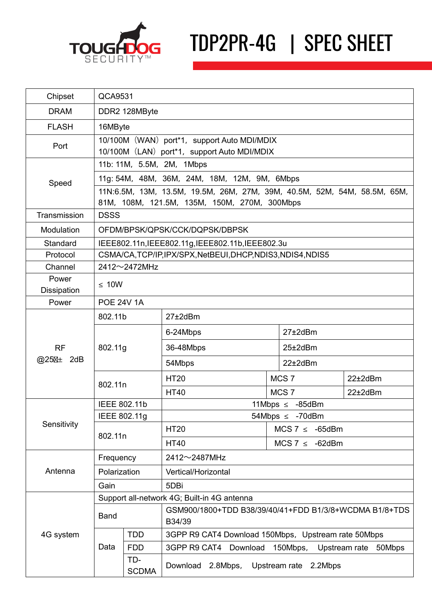

## TDP2PR-4G | SPEC SHEET

| Chipset                                                     | QCA9531                                                                                                                  |                     |                                                                  |  |                      |              |  |
|-------------------------------------------------------------|--------------------------------------------------------------------------------------------------------------------------|---------------------|------------------------------------------------------------------|--|----------------------|--------------|--|
| <b>DRAM</b>                                                 | DDR2 128MByte                                                                                                            |                     |                                                                  |  |                      |              |  |
| <b>FLASH</b>                                                | 16MByte                                                                                                                  |                     |                                                                  |  |                      |              |  |
| Port                                                        | 10/100M (WAN) port <sup>*</sup> 1, support Auto MDI/MDIX<br>10/100M (LAN) port <sup>*1</sup> , support Auto MDI/MDIX     |                     |                                                                  |  |                      |              |  |
| Speed                                                       | 11b: 11M, 5.5M, 2M, 1Mbps                                                                                                |                     |                                                                  |  |                      |              |  |
|                                                             | 11g: 54M, 48M, 36M, 24M, 18M, 12M, 9M, 6Mbps                                                                             |                     |                                                                  |  |                      |              |  |
|                                                             | 11N:6.5M, 13M, 13.5M, 19.5M, 26M, 27M, 39M, 40.5M, 52M, 54M, 58.5M, 65M,<br>81M, 108M, 121.5M, 135M, 150M, 270M, 300Mbps |                     |                                                                  |  |                      |              |  |
| Transmission                                                | <b>DSSS</b>                                                                                                              |                     |                                                                  |  |                      |              |  |
| Modulation                                                  | OFDM/BPSK/QPSK/CCK/DQPSK/DBPSK                                                                                           |                     |                                                                  |  |                      |              |  |
| Standard                                                    | IEEE802.11n, IEEE802.11g, IEEE802.11b, IEEE802.3u                                                                        |                     |                                                                  |  |                      |              |  |
| Protocol                                                    | CSMA/CA, TCP/IP, IPX/SPX, NetBEUI, DHCP, NDIS3, NDIS4, NDIS5                                                             |                     |                                                                  |  |                      |              |  |
| Channel                                                     | $2412 \sim 2472$ MHz                                                                                                     |                     |                                                                  |  |                      |              |  |
| Power<br>Dissipation                                        | $\leq 10W$                                                                                                               |                     |                                                                  |  |                      |              |  |
| Power                                                       | <b>POE 24V 1A</b>                                                                                                        |                     |                                                                  |  |                      |              |  |
| <b>RF</b><br>@25 <sub><math>\text{H}_{\pm}</math> 2dB</sub> | 802.11b                                                                                                                  |                     | $27\pm2$ dBm                                                     |  |                      |              |  |
|                                                             | 802.11g                                                                                                                  |                     | 6-24Mbps                                                         |  | 27±2dBm              |              |  |
|                                                             |                                                                                                                          |                     | 36-48Mbps                                                        |  | 25±2dBm              |              |  |
|                                                             |                                                                                                                          |                     | 54Mbps                                                           |  | $22\pm2$ dBm         |              |  |
|                                                             | 802.11n                                                                                                                  |                     | <b>HT20</b>                                                      |  | MCS <sub>7</sub>     | $22\pm2$ dBm |  |
|                                                             |                                                                                                                          |                     | <b>HT40</b>                                                      |  | MCS <sub>7</sub>     | 22±2dBm      |  |
| Sensitivity                                                 | IEEE 802.11b                                                                                                             |                     | 11Mbps $\leq -85$ dBm                                            |  |                      |              |  |
|                                                             | IEEE 802.11g                                                                                                             |                     | 54Mbps $\leq$ -70dBm                                             |  |                      |              |  |
|                                                             | 802.11n                                                                                                                  |                     | <b>HT20</b>                                                      |  | MCS $7 \leq -65$ dBm |              |  |
|                                                             |                                                                                                                          |                     | <b>HT40</b>                                                      |  | MCS 7 $\leq$ -62dBm  |              |  |
| Antenna                                                     | Frequency                                                                                                                |                     | 2412~2487MHz                                                     |  |                      |              |  |
|                                                             | Polarization                                                                                                             |                     | Vertical/Horizontal                                              |  |                      |              |  |
|                                                             | Gain                                                                                                                     |                     | 5DBi                                                             |  |                      |              |  |
| 4G system                                                   | Support all-network 4G; Built-in 4G antenna                                                                              |                     |                                                                  |  |                      |              |  |
|                                                             | <b>Band</b>                                                                                                              |                     | GSM900/1800+TDD B38/39/40/41+FDD B1/3/8+WCDMA B1/8+TDS<br>B34/39 |  |                      |              |  |
|                                                             | Data                                                                                                                     | <b>TDD</b>          | 3GPP R9 CAT4 Download 150Mbps, Upstream rate 50Mbps              |  |                      |              |  |
|                                                             |                                                                                                                          | <b>FDD</b>          | 3GPP R9 CAT4 Download<br>150Mbps,<br>Upstream rate<br>50Mbps     |  |                      |              |  |
|                                                             |                                                                                                                          | TD-<br><b>SCDMA</b> | Download 2.8Mbps,<br>Upstream rate 2.2Mbps                       |  |                      |              |  |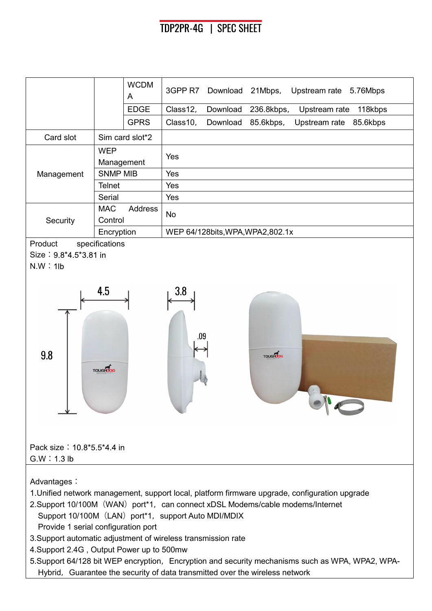## TDP2PR-4G | SPEC SHEET



5. Support 64/128 bit WEP encryption, Encryption and security mechanisms such as WPA, WPA2, WPA-Hybrid, Guarantee the security of data transmitted over the wireless network